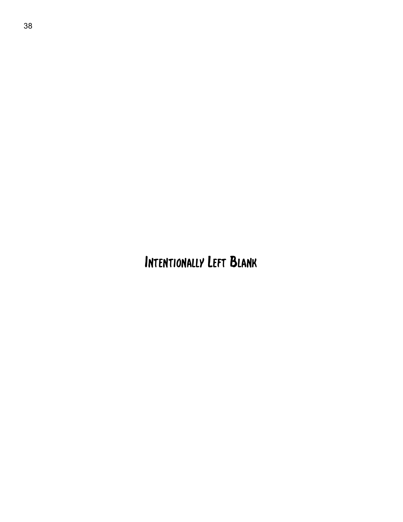Intentionally Left Blank